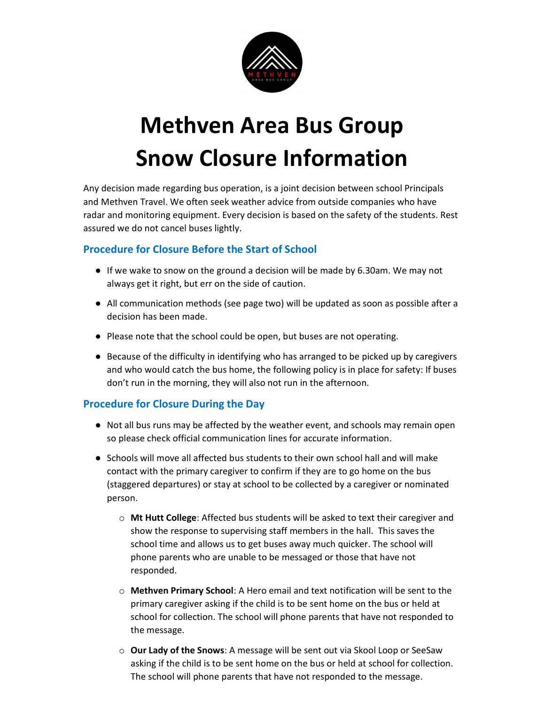

# Methven Area Bus Group Snow Closure Information

Any decision made regarding bus operation, is a joint decision between school Principals and Methven Travel. We often seek weather advice from outside companies who have radar and monitoring equipment. Every decision is based on the safety of the students. Rest assured we do not cancel buses lightly.

# Procedure for Closure Before the Start of School

- If we wake to snow on the ground a decision will be made by 6.30am. We may not always get it right, but err on the side of caution.
- All communication methods (see page two) will be updated as soon as possible after a decision has been made.
- Please note that the school could be open, but buses are not operating.
- Because of the difficulty in identifying who has arranged to be picked up by caregivers and who would catch the bus home, the following policy is in place for safety: If buses don't run in the morning, they will also not run in the afternoon.

# Procedure for Closure During the Day

- Not all bus runs may be affected by the weather event, and schools may remain open so please check official communication lines for accurate information.
- Schools will move all affected bus students to their own school hall and will make contact with the primary caregiver to confirm if they are to go home on the bus (staggered departures) or stay at school to be collected by a caregiver or nominated person.
	- $\circ$  Mt Hutt College: Affected bus students will be asked to text their caregiver and show the response to supervising staff members in the hall. This saves the school time and allows us to get buses away much quicker. The school will phone parents who are unable to be messaged or those that have not responded.
	- o Methven Primary School: A Hero email and text notification will be sent to the primary caregiver asking if the child is to be sent home on the bus or held at school for collection. The school will phone parents that have not responded to the message.
	- o Our Lady of the Snows: A message will be sent out via Skool Loop or SeeSaw asking if the child is to be sent home on the bus or held at school for collection. The school will phone parents that have not responded to the message.